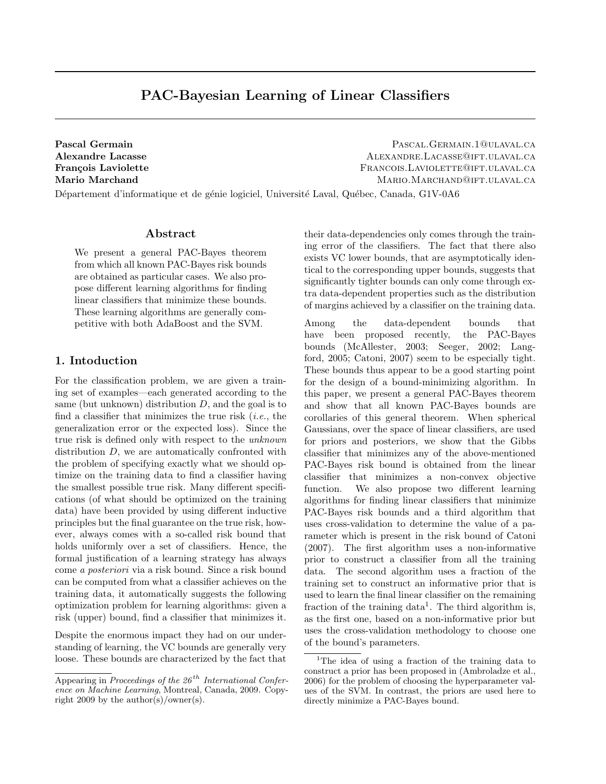# PAC-Bayesian Learning of Linear Classifiers

Pascal Germain **Pascal.GERMAIN.1@ULAVAL.CA** Alexandre Lacasse ALEXANDRE.LACASSE@IFT.ULAVAL.CA François Laviolette **FRANCOIS. EXAMPLE ENGINEERING ENGINEERING** FRANCOIS. LAVIOLETTE QUET. ULAVAL.CA Mario Marchand Marchand Mario.MARIO.MARCHAND MET.ULAVAL.CA

Département d'informatique et de génie logiciel, Université Laval, Québec, Canada, G1V-0A6

## Abstract

We present a general PAC-Bayes theorem from which all known PAC-Bayes risk bounds are obtained as particular cases. We also propose different learning algorithms for finding linear classifiers that minimize these bounds. These learning algorithms are generally competitive with both AdaBoost and the SVM.

## 1. Intoduction

For the classification problem, we are given a training set of examples—each generated according to the same (but unknown) distribution  $D$ , and the goal is to find a classifier that minimizes the true risk  $(i.e.,$  the generalization error or the expected loss). Since the true risk is defined only with respect to the unknown distribution D, we are automatically confronted with the problem of specifying exactly what we should optimize on the training data to find a classifier having the smallest possible true risk. Many different specifications (of what should be optimized on the training data) have been provided by using different inductive principles but the final guarantee on the true risk, however, always comes with a so-called risk bound that holds uniformly over a set of classifiers. Hence, the formal justification of a learning strategy has always come a posteriori via a risk bound. Since a risk bound can be computed from what a classifier achieves on the training data, it automatically suggests the following optimization problem for learning algorithms: given a risk (upper) bound, find a classifier that minimizes it.

Despite the enormous impact they had on our understanding of learning, the VC bounds are generally very loose. These bounds are characterized by the fact that their data-dependencies only comes through the training error of the classifiers. The fact that there also exists VC lower bounds, that are asymptotically identical to the corresponding upper bounds, suggests that significantly tighter bounds can only come through extra data-dependent properties such as the distribution of margins achieved by a classifier on the training data.

Among the data-dependent bounds that have been proposed recently, the PAC-Bayes bounds (McAllester, 2003; Seeger, 2002; Langford, 2005; Catoni, 2007) seem to be especially tight. These bounds thus appear to be a good starting point for the design of a bound-minimizing algorithm. In this paper, we present a general PAC-Bayes theorem and show that all known PAC-Bayes bounds are corollaries of this general theorem. When spherical Gaussians, over the space of linear classifiers, are used for priors and posteriors, we show that the Gibbs classifier that minimizes any of the above-mentioned PAC-Bayes risk bound is obtained from the linear classifier that minimizes a non-convex objective function. We also propose two different learning algorithms for finding linear classifiers that minimize PAC-Bayes risk bounds and a third algorithm that uses cross-validation to determine the value of a parameter which is present in the risk bound of Catoni (2007). The first algorithm uses a non-informative prior to construct a classifier from all the training data. The second algorithm uses a fraction of the training set to construct an informative prior that is used to learn the final linear classifier on the remaining fraction of the training data<sup>1</sup>. The third algorithm is, as the first one, based on a non-informative prior but uses the cross-validation methodology to choose one of the bound's parameters.

Appearing in Proceedings of the  $26<sup>th</sup> International Confer$ ence on Machine Learning, Montreal, Canada, 2009. Copyright 2009 by the author(s)/owner(s).

<sup>&</sup>lt;sup>1</sup>The idea of using a fraction of the training data to construct a prior has been proposed in (Ambroladze et al., 2006) for the problem of choosing the hyperparameter values of the SVM. In contrast, the priors are used here to directly minimize a PAC-Bayes bound.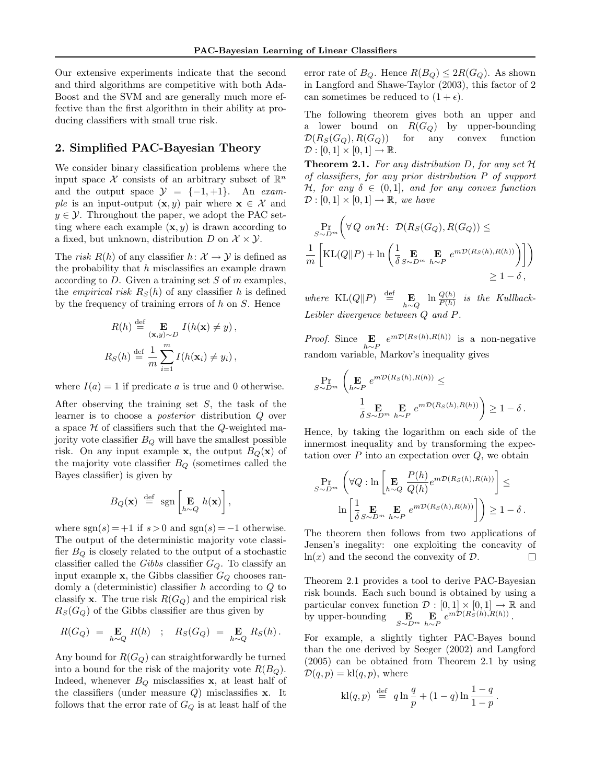Our extensive experiments indicate that the second and third algorithms are competitive with both Ada-Boost and the SVM and are generally much more effective than the first algorithm in their ability at producing classifiers with small true risk.

## 2. Simplified PAC-Bayesian Theory

We consider binary classification problems where the input space  $\mathcal X$  consists of an arbitrary subset of  $\mathbb R^n$ and the output space  $\mathcal{Y} = \{-1, +1\}$ . An example is an input-output  $(\mathbf{x}, y)$  pair where  $\mathbf{x} \in \mathcal{X}$  and  $y \in \mathcal{Y}$ . Throughout the paper, we adopt the PAC setting where each example  $(x, y)$  is drawn according to a fixed, but unknown, distribution D on  $\mathcal{X} \times \mathcal{Y}$ .

The *risk*  $R(h)$  of any classifier  $h: \mathcal{X} \to \mathcal{Y}$  is defined as the probability that  $h$  misclassifies an example drawn according to  $D$ . Given a training set  $S$  of  $m$  examples, the *empirical risk*  $R<sub>S</sub>(h)$  of any classifier h is defined by the frequency of training errors of  $h$  on  $S$ . Hence

$$
R(h) \stackrel{\text{def}}{=} \mathop{\mathbf{E}}_{(\mathbf{x}, y) \sim D} I(h(\mathbf{x}) \neq y),
$$
  

$$
R_S(h) \stackrel{\text{def}}{=} \frac{1}{m} \sum_{i=1}^m I(h(\mathbf{x}_i) \neq y_i),
$$

where  $I(a) = 1$  if predicate a is true and 0 otherwise.

After observing the training set S, the task of the learner is to choose a posterior distribution Q over a space  $\mathcal H$  of classifiers such that the Q-weighted majority vote classifier  $B_Q$  will have the smallest possible risk. On any input example x, the output  $B_Q(x)$  of the majority vote classifier  $B_Q$  (sometimes called the Bayes classifier) is given by

$$
B_Q(\mathbf{x}) \stackrel{\text{def}}{=} \operatorname{sgn}\left[\mathbf{E}_{h \sim Q} h(\mathbf{x})\right],
$$

where  $sgn(s) = +1$  if  $s > 0$  and  $sgn(s) = -1$  otherwise. The output of the deterministic majority vote classifier  $B_Q$  is closely related to the output of a stochastic classifier called the Gibbs classifier  $G_Q$ . To classify an input example  $x$ , the Gibbs classifier  $G_Q$  chooses randomly a (deterministic) classifier h according to Q to classify **x**. The true risk  $R(G_Q)$  and the empirical risk  $R<sub>S</sub>(G<sub>O</sub>)$  of the Gibbs classifier are thus given by

$$
R(G_Q) = \mathop{\mathbf{E}}_{h \sim Q} R(h) \quad ; \quad R_S(G_Q) = \mathop{\mathbf{E}}_{h \sim Q} R_S(h) .
$$

Any bound for  $R(G_Q)$  can straightforwardly be turned into a bound for the risk of the majority vote  $R(B_Q)$ . Indeed, whenever  $B_Q$  misclassifies x, at least half of the classifiers (under measure  $Q$ ) misclassifies **x**. It follows that the error rate of  $G_Q$  is at least half of the error rate of  $B_Q$ . Hence  $R(B_Q) \leq 2R(G_Q)$ . As shown in Langford and Shawe-Taylor (2003), this factor of 2 can sometimes be reduced to  $(1 + \epsilon)$ .

The following theorem gives both an upper and a lower bound on  $R(G_{Q})$  by upper-bounding  $\mathcal{D}(R_{S}(G_{O}), R(G_{O}))$  for any convex function  $\mathcal{D} : [0,1] \times [0,1] \rightarrow \mathbb{R}.$ 

**Theorem 2.1.** For any distribution D, for any set  $H$ of classifiers, for any prior distribution P of support  $\mathcal{H}$ , for any  $\delta \in (0,1]$ , and for any convex function  $\mathcal{D} : [0,1] \times [0,1] \rightarrow \mathbb{R}$ , we have

$$
\Pr_{S \sim D^m} \left( \forall Q \ on \mathcal{H} : \ \mathcal{D}(R_S(G_Q), R(G_Q)) \le
$$
\n
$$
\frac{1}{m} \left[ \text{KL}(Q \| P) + \ln \left( \frac{1}{\delta} \mathbf{E} \mathbf{E} \mathbf{E} \mathbf{E} e^{m \mathcal{D}(R_S(h), R(h))} \right) \right] \right)
$$
\n
$$
\geq 1 - \delta,
$$

where  $KL(Q||P) \stackrel{\text{def}}{=} \mathbb{E}_{h \sim Q}$   $\ln \frac{Q(h)}{P(h)}$  is the Kullback-Leibler divergence between Q and P.

*Proof.* Since  $\mathbb{E}_{h \sim P} e^{m\mathcal{D}(R_S(h), R(h))}$  is a non-negative random variable, Markov's inequality gives

$$
\Pr_{S \sim D^m} \left( \mathbf{E} \substack{P \ \mathcal{P}^{m\mathcal{D}(R_S(h), R(h))} \leq \atop \frac{1}{\delta} \mathbf{E} \substack{P \ \mathcal{P}^{m\mathcal{D}(R_S(h), R(h))} \geq 1 - \delta}.
$$

Hence, by taking the logarithm on each side of the innermost inequality and by transforming the expectation over  $P$  into an expectation over  $Q$ , we obtain

$$
\Pr_{S \sim D^m} \left( \forall Q : \ln \left[ \mathbf{E} \right]_{h \sim Q} \frac{P(h)}{Q(h)} e^{m \mathcal{D}(R_S(h), R(h))} \right] \le
$$
\n
$$
\ln \left[ \frac{1}{\delta} \mathbf{E} \mathbf{E} \mathbf{E} e^{m \mathcal{D}(R_S(h), R(h))} \right] \ge 1 - \delta.
$$

The theorem then follows from two applications of Jensen's inegality: one exploiting the concavity of  $ln(x)$  and the second the convexity of  $\mathcal{D}$ .  $\Box$ 

Theorem 2.1 provides a tool to derive PAC-Bayesian risk bounds. Each such bound is obtained by using a particular convex function  $\mathcal{D} : [0,1] \times [0,1] \to \mathbb{R}$  and by upper-bounding  $\mathbf{E} \underset{S \sim D^m}{\mathbf{E}} \underset{h \sim P}{\mathbf{E}} e^{m\mathcal{D}(R_S(h), R(h))}$ .

For example, a slightly tighter PAC-Bayes bound than the one derived by Seeger (2002) and Langford (2005) can be obtained from Theorem 2.1 by using  $\mathcal{D}(q,p) = \text{kl}(q,p)$ , where

$$
kl(q, p) \stackrel{\text{def}}{=} q \ln \frac{q}{p} + (1 - q) \ln \frac{1 - q}{1 - p}
$$

.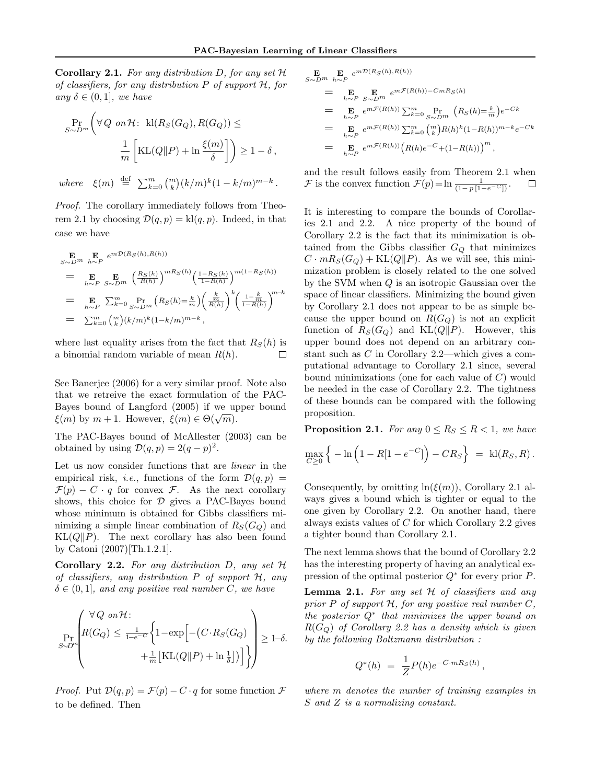**Corollary 2.1.** For any distribution D, for any set  $H$ of classifiers, for any distribution  $P$  of support  $H$ , for any  $\delta \in (0,1]$ , we have

$$
\Pr_{S \sim D^m} \left( \forall Q \text{ on } H: \text{ kl}(R_S(G_Q), R(G_Q)) \le
$$

$$
\frac{1}{m} \left[ \text{KL}(Q \| P) + \ln \frac{\xi(m)}{\delta} \right] \right) \ge 1 - \delta,
$$

where  $\xi(m) \stackrel{\text{def}}{=} \sum_{k=0}^{m} {m \choose k} (k/m)^k (1-k/m)^{m-k}$ .

Proof. The corollary immediately follows from Theorem 2.1 by choosing  $\mathcal{D}(q, p) = k l(q, p)$ . Indeed, in that case we have

$$
\begin{split}\n\mathbf{E} &= \mathbf{E} \mathbf{E} e^{m\mathcal{D}(R_{S}(h), R(h))} \\
&= \mathbf{E} \mathbf{E} \mathbf{E} \mathbf{E} \mathbf{E} \left( \frac{R_{S}(h)}{R(h)} \right)^{mR_{S}(h)} \left( \frac{1 - R_{S}(h)}{1 - R(h)} \right)^{m(1 - R_{S}(h))} \\
&= \mathbf{E} \mathbf{E} \sum_{k \sim P} \sum_{k=0}^{m} \Pr_{S \sim D^{m}} \left( R_{S}(h) = \frac{k}{m} \right) \left( \frac{\frac{k}{m}}{R(h)} \right)^{k} \left( \frac{1 - \frac{k}{m}}{1 - R(h)} \right)^{m-k} \\
&= \sum_{k=0}^{m} \binom{m}{k} (k/m)^{k} (1 - k/m)^{m-k} \,,\n\end{split}
$$

where last equality arises from the fact that  $R<sub>S</sub>(h)$  is a binomial random variable of mean  $R(h)$ .  $\Box$ 

See Banerjee (2006) for a very similar proof. Note also that we retreive the exact formulation of the PAC-Bayes bound of Langford (2005) if we upper bound Bayes bound of Langtord (2003) If we up<br>  $\xi(m)$  by  $m + 1$ . However,  $\xi(m) \in \Theta(\sqrt{m})$ .

The PAC-Bayes bound of McAllester (2003) can be obtained by using  $\mathcal{D}(q, p) = 2(q - p)^2$ .

Let us now consider functions that are linear in the empirical risk, *i.e.*, functions of the form  $\mathcal{D}(q, p) =$  $\mathcal{F}(p) - C \cdot q$  for convex  $\mathcal{F}$ . As the next corollary shows, this choice for  $D$  gives a PAC-Bayes bound whose minimum is obtained for Gibbs classifiers minimizing a simple linear combination of  $R<sub>S</sub>(G<sub>Q</sub>)$  and  $KL(Q||P)$ . The next corollary has also been found by Catoni (2007)[Th.1.2.1].

Corollary 2.2. For any distribution  $D$ , any set  $H$ of classifiers, any distribution  $P$  of support  $H$ , any  $\delta \in (0,1]$ , and any positive real number C, we have

$$
\Pr_{S\sim D^n} \left( R(G_Q) \le \frac{1}{1-e^{-C}} \left\{ 1 - \exp \left[ -\left( C \cdot R_S(G_Q) \right) \right] \ge 1 - \delta. \right. \\ \left. + \frac{1}{m} \left[ \mathrm{KL}(Q \| P) + \ln \frac{1}{\delta} \right] \right) \right\} \right) \ge 1 - \delta.
$$

*Proof.* Put  $\mathcal{D}(q, p) = \mathcal{F}(p) - C \cdot q$  for some function  $\mathcal F$ to be defined. Then

$$
\begin{split}\n\mathbf{E} &= \mathbf{E}_{h \sim P} e^{m \mathcal{D}(R_S(h), R(h))} \\
&= \mathbf{E}_{h \sim P} \mathbf{E}_{S \sim D^m} e^{m \mathcal{F}(R(h)) - CmR_S(h)} \\
&= \mathbf{E}_{h \sim P} e^{m \mathcal{F}(R(h))} \sum_{k=0}^m \Pr_{S \sim D^m} \left( R_S(h) = \frac{k}{m} \right) e^{-Ck} \\
&= \mathbf{E}_{h \sim P} e^{m \mathcal{F}(R(h))} \sum_{k=0}^m \binom{m}{k} R(h)^k (1 - R(h))^{m-k} e^{-Ck} \\
&= \mathbf{E}_{h \sim P} e^{m \mathcal{F}(R(h))} \left( R(h) e^{-C} + (1 - R(h)) \right)^m,\n\end{split}
$$

and the result follows easily from Theorem 2.1 when F is the convex function  $\mathcal{F}(p) = \ln \frac{1}{(1-p[1-e^{-C}])}$ .  $\Box$ 

It is interesting to compare the bounds of Corollaries 2.1 and 2.2. A nice property of the bound of Corollary 2.2 is the fact that its minimization is obtained from the Gibbs classifier  $G_Q$  that minimizes  $C \cdot mR_S(G_Q) + \text{KL}(Q||P)$ . As we will see, this minimization problem is closely related to the one solved by the SVM when Q is an isotropic Gaussian over the space of linear classifiers. Minimizing the bound given by Corollary 2.1 does not appear to be as simple because the upper bound on  $R(G_{Q})$  is not an explicit function of  $R_S(G_Q)$  and  $KL(Q||P)$ . However, this upper bound does not depend on an arbitrary constant such as C in Corollary 2.2—which gives a computational advantage to Corollary 2.1 since, several bound minimizations (one for each value of  $C$ ) would be needed in the case of Corollary 2.2. The tightness of these bounds can be compared with the following proposition.

**Proposition 2.1.** For any  $0 \leq R_S \leq R < 1$ , we have

$$
\max_{C\geq 0}\left\{-\ln\left(1-R[1-e^{-C}]\right)-CR_S\right\} = \mathrm{kl}(R_S,R).
$$

Consequently, by omitting  $ln(\xi(m))$ , Corollary 2.1 always gives a bound which is tighter or equal to the one given by Corollary 2.2. On another hand, there always exists values of C for which Corollary 2.2 gives a tighter bound than Corollary 2.1.

The next lemma shows that the bound of Corollary 2.2 has the interesting property of having an analytical expression of the optimal posterior  $Q^*$  for every prior  $P$ .

**Lemma 2.1.** For any set  $H$  of classifiers and any prior  $P$  of support  $H$ , for any positive real number  $C$ , the posterior  $Q^*$  that minimizes the upper bound on  $R(G_{\mathcal{O}})$  of Corollary 2.2 has a density which is given by the following Boltzmann distribution :

$$
Q^*(h) = \frac{1}{Z} P(h) e^{-C \cdot m R_S(h)},
$$

where m denotes the number of training examples in S and Z is a normalizing constant.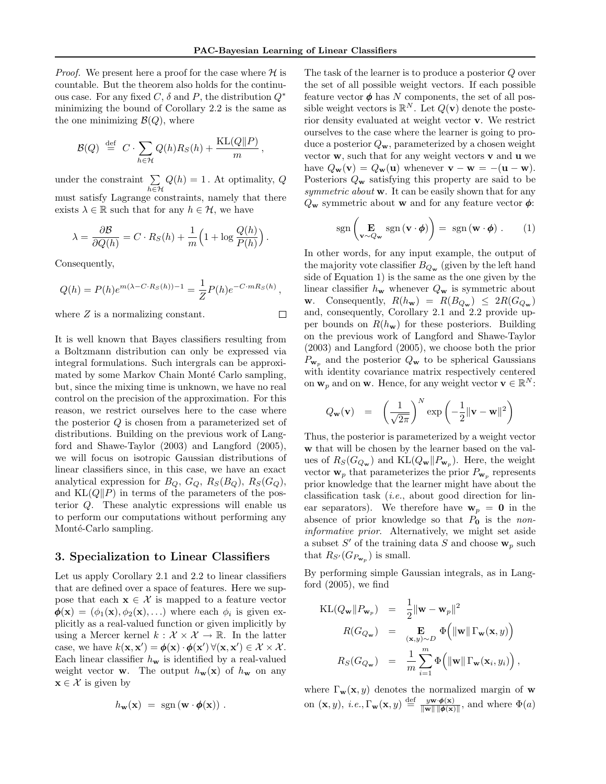$\Box$ 

*Proof.* We present here a proof for the case where  $H$  is countable. But the theorem also holds for the continuous case. For any fixed C,  $\delta$  and P, the distribution  $Q^*$ minimizing the bound of Corollary 2.2 is the same as the one minimizing  $\mathcal{B}(Q)$ , where

$$
\mathcal{B}(Q) \stackrel{\text{def}}{=} C \cdot \sum_{h \in \mathcal{H}} Q(h) R_S(h) + \frac{\text{KL}(Q \| P)}{m},
$$

under the constraint  $\Sigma$  $h \in H$  $Q(h) = 1$ . At optimality, Q must satisfy Lagrange constraints, namely that there exists  $\lambda \in \mathbb{R}$  such that for any  $h \in \mathcal{H}$ , we have

$$
\lambda = \frac{\partial \mathcal{B}}{\partial Q(h)} = C \cdot R_S(h) + \frac{1}{m} \left( 1 + \log \frac{Q(h)}{P(h)} \right).
$$

Consequently,

$$
Q(h) = P(h)e^{m(\lambda - C \cdot R_S(h)) - 1} = \frac{1}{Z}P(h)e^{-C \cdot mR_S(h)},
$$

where  $Z$  is a normalizing constant.

It is well known that Bayes classifiers resulting from a Boltzmann distribution can only be expressed via integral formulations. Such intergrals can be approximated by some Markov Chain Monté Carlo sampling, but, since the mixing time is unknown, we have no real control on the precision of the approximation. For this reason, we restrict ourselves here to the case where the posterior Q is chosen from a parameterized set of distributions. Building on the previous work of Langford and Shawe-Taylor (2003) and Langford (2005), we will focus on isotropic Gaussian distributions of linear classifiers since, in this case, we have an exact analytical expression for  $B_Q$ ,  $G_Q$ ,  $R_S(B_Q)$ ,  $R_S(G_Q)$ , and  $KL(Q||P)$  in terms of the parameters of the posterior Q. These analytic expressions will enable us to perform our computations without performing any Monté-Carlo sampling.

## 3. Specialization to Linear Classifiers

Let us apply Corollary 2.1 and 2.2 to linear classifiers that are defined over a space of features. Here we suppose that each  $x \in \mathcal{X}$  is mapped to a feature vector  $\boldsymbol{\phi}(\mathbf{x}) = (\phi_1(\mathbf{x}), \phi_2(\mathbf{x}), \ldots)$  where each  $\phi_i$  is given explicitly as a real-valued function or given implicitly by using a Mercer kernel  $k : \mathcal{X} \times \mathcal{X} \to \mathbb{R}$ . In the latter case, we have  $k(\mathbf{x}, \mathbf{x}') = \boldsymbol{\phi}(\mathbf{x}) \cdot \boldsymbol{\phi}(\mathbf{x}') \forall (\mathbf{x}, \mathbf{x}') \in \mathcal{X} \times \mathcal{X}$ . Each linear classifier  $h_{\mathbf{w}}$  is identified by a real-valued weight vector **w**. The output  $h_{\mathbf{w}}(\mathbf{x})$  of  $h_{\mathbf{w}}$  on any  $\mathbf{x} \in \mathcal{X}$  is given by

$$
h_{\mathbf{w}}(\mathbf{x}) = \text{sgn}(\mathbf{w} \cdot \boldsymbol{\phi}(\mathbf{x})).
$$

The task of the learner is to produce a posterior Q over the set of all possible weight vectors. If each possible feature vector  $\phi$  has N components, the set of all possible weight vectors is  $\mathbb{R}^N$ . Let  $Q(\mathbf{v})$  denote the posterior density evaluated at weight vector v. We restrict ourselves to the case where the learner is going to produce a posterior  $Q_w$ , parameterized by a chosen weight vector  $\mathbf{w}$ , such that for any weight vectors  $\mathbf{v}$  and  $\mathbf{u}$  we have  $Q_{\mathbf{w}}(\mathbf{v}) = Q_{\mathbf{w}}(\mathbf{u})$  whenever  $\mathbf{v} - \mathbf{w} = -(\mathbf{u} - \mathbf{w})$ . Posteriors  $Q_w$  satisfying this property are said to be symmetric about  $\bf{w}$ . It can be easily shown that for any  $Q_{\mathbf{w}}$  symmetric about **w** and for any feature vector  $\phi$ :

$$
sgn\left(\mathbf{E}_{\mathbf{v}\sim Q_{\mathbf{w}}}\mathrm{sgn}\left(\mathbf{v}\cdot\boldsymbol{\phi}\right)\right) = sgn\left(\mathbf{w}\cdot\boldsymbol{\phi}\right). \qquad (1)
$$

In other words, for any input example, the output of the majority vote classifier  $B_{Q_w}$  (given by the left hand side of Equation 1) is the same as the one given by the linear classifier  $h_{\mathbf{w}}$  whenever  $Q_{\mathbf{w}}$  is symmetric about **w**. Consequently,  $R(h_{\mathbf{w}}) = R(B_{Q_{\mathbf{w}}}) \leq 2R(G_{Q_{\mathbf{w}}})$ and, consequently, Corollary 2.1 and 2.2 provide upper bounds on  $R(h_{\mathbf{w}})$  for these posteriors. Building on the previous work of Langford and Shawe-Taylor (2003) and Langford (2005), we choose both the prior  $P_{\mathbf{w}_p}$  and the posterior  $Q_{\mathbf{w}}$  to be spherical Gaussians with identity covariance matrix respectively centered on  $\mathbf{w}_p$  and on **w**. Hence, for any weight vector  $\mathbf{v} \in \mathbb{R}^N$ :

$$
Q_{\mathbf{w}}(\mathbf{v}) = \left(\frac{1}{\sqrt{2\pi}}\right)^N \exp\left(-\frac{1}{2} \|\mathbf{v} - \mathbf{w}\|^2\right)
$$

Thus, the posterior is parameterized by a weight vector w that will be chosen by the learner based on the values of  $R_S(G_{Q_{\mathbf{w}}})$  and  $\text{KL}(Q_{\mathbf{w}}||P_{\mathbf{w}_p})$ . Here, the weight vector  $\mathbf{w}_p$  that parameterizes the prior  $P_{\mathbf{w}_p}$  represents prior knowledge that the learner might have about the classification task (i.e., about good direction for linear separators). We therefore have  $w_p = 0$  in the absence of prior knowledge so that  $P_0$  is the noninformative prior. Alternatively, we might set aside a subset  $S'$  of the training data S and choose  $\mathbf{w}_p$  such that  $R_{S'}(G_{P_{\mathbf{w}_p}})$  is small.

By performing simple Gaussian integrals, as in Langford (2005), we find

$$
\begin{array}{rcl}\n\mathrm{KL}(Q_{\mathbf{w}}\|P_{\mathbf{w}_p}) & = & \frac{1}{2} \|\mathbf{w} - \mathbf{w}_p\|^2 \\
R(G_{Q_{\mathbf{w}}}) & = & \mathbf{E} \qquad \Phi\left(\|\mathbf{w}\| \Gamma_{\mathbf{w}}(\mathbf{x}, y)\right) \\
R_S(G_{Q_{\mathbf{w}}}) & = & \frac{1}{m} \sum_{i=1}^m \Phi\left(\|\mathbf{w}\| \Gamma_{\mathbf{w}}(\mathbf{x}_i, y_i)\right),\n\end{array}
$$

where  $\Gamma_{\mathbf{w}}(\mathbf{x}, y)$  denotes the normalized margin of **w** on  $(\mathbf{x}, y)$ , *i.e.*,  $\Gamma_{\mathbf{w}}(\mathbf{x}, y) \stackrel{\text{def}}{=} \frac{y \mathbf{w} \cdot \phi(\mathbf{x})}{\|\mathbf{w}\| \|\phi(\mathbf{x})\|}$  $\frac{y\mathbf{w}\cdot\boldsymbol{\phi}(\mathbf{x})}{\|\mathbf{w}\| \|\boldsymbol{\phi}(\mathbf{x})\|}$ , and where  $\Phi(a)$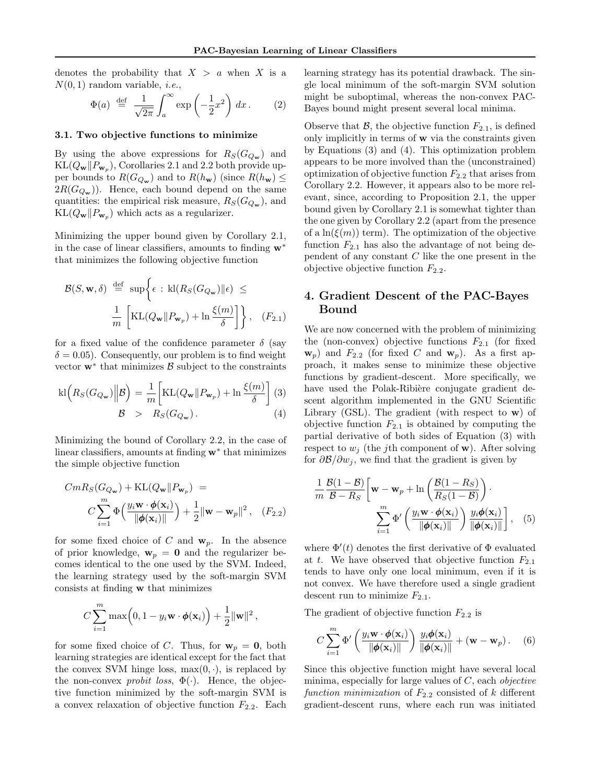denotes the probability that  $X > a$  when X is a  $N(0, 1)$  random variable, *i.e.*,

$$
\Phi(a) \stackrel{\text{def}}{=} \frac{1}{\sqrt{2\pi}} \int_{a}^{\infty} \exp\left(-\frac{1}{2}x^{2}\right) dx. \quad (2)
$$

#### 3.1. Two objective functions to minimize

By using the above expressions for  $R_S(G_{Q_w})$  and  $KL(Q_w||P_{\mathbf{w}_p}),$  Corollaries 2.1 and 2.2 both provide upper bounds to  $R(G_{Q_{\mathbf{w}}})$  and to  $R(h_{\mathbf{w}})$  (since  $R(h_{\mathbf{w}}) \leq$  $2R(G_{Q_{\mathbf{w}}})$ . Hence, each bound depend on the same quantities: the empirical risk measure,  $R_S(G_{Q_w})$ , and  $KL(Q_w||P_{\mathbf{w}_p})$  which acts as a regularizer.

Minimizing the upper bound given by Corollary 2.1, in the case of linear classifiers, amounts to finding w<sup>∗</sup> that minimizes the following objective function

$$
\mathcal{B}(S, \mathbf{w}, \delta) \stackrel{\text{def}}{=} \sup \bigg\{ \epsilon : \text{kl}(R_S(G_{Q_{\mathbf{w}}}) \| \epsilon) \le
$$

$$
\frac{1}{m} \left[ \text{KL}(Q_{\mathbf{w}} \| P_{\mathbf{w}_p}) + \ln \frac{\xi(m)}{\delta} \right] \bigg\}, \quad (F_{2.1})
$$

for a fixed value of the confidence parameter  $\delta$  (say  $\delta = 0.05$ . Consequently, our problem is to find weight vector  $\mathbf{w}^*$  that minimizes  $\mathcal{B}$  subject to the constraints

$$
kl\left(R_S(G_{Q_w})\middle\| \mathcal{B}\right) = \frac{1}{m} \left[KL(Q_w \| P_{w_p}) + \ln \frac{\xi(m)}{\delta}\right] (3)
$$

$$
\mathcal{B} > R_S(G_{Q_w}). \tag{4}
$$

Minimizing the bound of Corollary 2.2, in the case of linear classifiers, amounts at finding w<sup>∗</sup> that minimizes the simple objective function

$$
CmR_S(G_{Q_{\mathbf{w}}}) + \text{KL}(Q_{\mathbf{w}}||P_{\mathbf{w}_p}) =
$$
  

$$
C\sum_{i=1}^m \Phi\left(\frac{y_i \mathbf{w} \cdot \phi(\mathbf{x}_i)}{\|\phi(\mathbf{x}_i)\|}\right) + \frac{1}{2} ||\mathbf{w} - \mathbf{w}_p||^2, \quad (F_{2.2})
$$

for some fixed choice of C and  $w_p$ . In the absence of prior knowledge,  $w_p = 0$  and the regularizer becomes identical to the one used by the SVM. Indeed, the learning strategy used by the soft-margin SVM consists at finding w that minimizes

$$
C\sum_{i=1}^m \max\Bigl(0,1-y_i\mathbf{w}\cdot\boldsymbol{\phi}(\mathbf{x}_i)\Bigr) + \frac{1}{2} ||\mathbf{w}||^2,
$$

for some fixed choice of C. Thus, for  $w_p = 0$ , both learning strategies are identical except for the fact that the convex SVM hinge loss,  $max(0, \cdot)$ , is replaced by the non-convex *probit loss*,  $\Phi(\cdot)$ . Hence, the objective function minimized by the soft-margin SVM is a convex relaxation of objective function  $F_{2,2}$ . Each learning strategy has its potential drawback. The single local minimum of the soft-margin SVM solution might be suboptimal, whereas the non-convex PAC-Bayes bound might present several local minima.

Observe that  $\mathcal{B}$ , the objective function  $F_{2,1}$ , is defined only implicitly in terms of w via the constraints given by Equations (3) and (4). This optimization problem appears to be more involved than the (unconstrained) optimization of objective function  $F_{2,2}$  that arises from Corollary 2.2. However, it appears also to be more relevant, since, according to Proposition 2.1, the upper bound given by Corollary 2.1 is somewhat tighter than the one given by Corollary 2.2 (apart from the presence of a  $\ln(\xi(m))$  term). The optimization of the objective function  $F_{2,1}$  has also the advantage of not being dependent of any constant  $C$  like the one present in the objective objective function  $F_{2,2}$ .

## 4. Gradient Descent of the PAC-Bayes Bound

We are now concerned with the problem of minimizing the (non-convex) objective functions  $F_{2,1}$  (for fixed  $\mathbf{w}_p$ ) and  $F_{2,2}$  (for fixed C and  $\mathbf{w}_p$ ). As a first approach, it makes sense to minimize these objective functions by gradient-descent. More specifically, we have used the Polak-Ribière conjugate gradient descent algorithm implemented in the GNU Scientific Library (GSL). The gradient (with respect to  $\bf{w}$ ) of objective function  $F_{2,1}$  is obtained by computing the partial derivative of both sides of Equation (3) with respect to  $w_i$  (the j<sup>th</sup> component of **w**). After solving for  $\partial \mathcal{B}/\partial w_j$ , we find that the gradient is given by

$$
\frac{1}{m} \frac{\mathcal{B}(1-\mathcal{B})}{\mathcal{B}-R_S} \left[\mathbf{w}-\mathbf{w}_p+\ln\left(\frac{\mathcal{B}(1-R_S)}{R_S(1-\mathcal{B})}\right)\right]
$$

$$
\sum_{i=1}^m \Phi'\left(\frac{y_i \mathbf{w} \cdot \boldsymbol{\phi}(\mathbf{x}_i)}{\|\boldsymbol{\phi}(\mathbf{x}_i)\|}\right) \frac{y_i \boldsymbol{\phi}(\mathbf{x}_i)}{\|\boldsymbol{\phi}(\mathbf{x}_i)\|}\right], \quad (5)
$$

where  $\Phi'(t)$  denotes the first derivative of  $\Phi$  evaluated at t. We have observed that objective function  $F_{2,1}$ tends to have only one local minimum, even if it is not convex. We have therefore used a single gradient descent run to minimize  $F_{2,1}$ .

The gradient of objective function  $F_{2,2}$  is

$$
C\sum_{i=1}^{m} \Phi' \left(\frac{y_i \mathbf{w} \cdot \boldsymbol{\phi}(\mathbf{x}_i)}{\|\boldsymbol{\phi}(\mathbf{x}_i)\|}\right) \frac{y_i \boldsymbol{\phi}(\mathbf{x}_i)}{\|\boldsymbol{\phi}(\mathbf{x}_i)\|} + (\mathbf{w} - \mathbf{w}_p). \quad (6)
$$

Since this objective function might have several local minima, especially for large values of  $C$ , each *objective* function minimization of  $F_{2,2}$  consisted of k different gradient-descent runs, where each run was initiated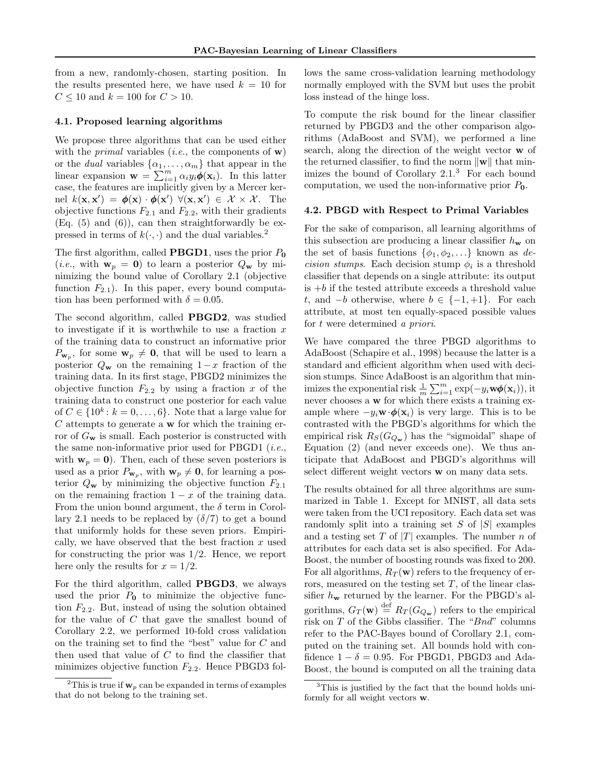from a new, randomly-chosen, starting position. In the results presented here, we have used  $k = 10$  for  $C \le 10$  and  $k = 100$  for  $C > 10$ .

### 4.1. Proposed learning algorithms

We propose three algorithms that can be used either with the *primal* variables (*i.e.*, the components of  $\bf{w}$ ) or the *dual* variables  $\{\alpha_1, \ldots, \alpha_m\}$  that appear in the linear expansion  $\mathbf{w} = \sum_{i=1}^{m} \alpha_i y_i \phi(\mathbf{x}_i)$ . In this latter case, the features are implicitly given by a Mercer kernel  $k(\mathbf{x}, \mathbf{x}') = \boldsymbol{\phi}(\mathbf{x}) \cdot \boldsymbol{\phi}(\mathbf{x}') \ \forall (\mathbf{x}, \mathbf{x}') \in \mathcal{X} \times \mathcal{X}$ . The objective functions  $F_{2,1}$  and  $F_{2,2}$ , with their gradients (Eq. (5) and (6)), can then straightforwardly be expressed in terms of  $k(\cdot, \cdot)$  and the dual variables.<sup>2</sup>

The first algorithm, called **PBGD1**, uses the prior  $P_0$ (*i.e.*, with  $w_p = 0$ ) to learn a posterior  $Q_w$  by minimizing the bound value of Corollary 2.1 (objective function  $F_{2,1}$ ). In this paper, every bound computation has been performed with  $\delta = 0.05$ .

The second algorithm, called PBGD2, was studied to investigate if it is worthwhile to use a fraction  $x$ of the training data to construct an informative prior  $P_{\mathbf{w}_p}$ , for some  $\mathbf{w}_p \neq \mathbf{0}$ , that will be used to learn a posterior  $Q_w$  on the remaining  $1-x$  fraction of the training data. In its first stage, PBGD2 minimizes the objective function  $F_{2,2}$  by using a fraction x of the training data to construct one posterior for each value of  $C \in \{10^k : k = 0, \ldots, 6\}$ . Note that a large value for  $C$  attempts to generate a  $\bf{w}$  for which the training error of  $G_{\mathbf{w}}$  is small. Each posterior is constructed with the same non-informative prior used for PBGD1 (*i.e.*, with  $w_p = 0$ . Then, each of these seven posteriors is used as a prior  $P_{\mathbf{w}_p}$ , with  $\mathbf{w}_p \neq \mathbf{0}$ , for learning a posterior  $Q_{\mathbf{w}}$  by minimizing the objective function  $F_{2,1}$ on the remaining fraction  $1 - x$  of the training data. From the union bound argument, the  $\delta$  term in Corollary 2.1 needs to be replaced by  $(\delta/7)$  to get a bound that uniformly holds for these seven priors. Empirically, we have observed that the best fraction  $x$  used for constructing the prior was  $1/2$ . Hence, we report here only the results for  $x = 1/2$ .

For the third algorithm, called PBGD3, we always used the prior  $P_0$  to minimize the objective function  $F_{2,2}$ . But, instead of using the solution obtained for the value of  $C$  that gave the smallest bound of Corollary 2.2, we performed 10-fold cross validation on the training set to find the "best" value for C and then used that value of  $C$  to find the classifier that minimizes objective function  $F_{2.2}$ . Hence PBGD3 follows the same cross-validation learning methodology normally employed with the SVM but uses the probit loss instead of the hinge loss.

To compute the risk bound for the linear classifier returned by PBGD3 and the other comparison algorithms (AdaBoost and SVM), we performed a line search, along the direction of the weight vector w of the returned classifier, to find the norm  $\|\mathbf{w}\|$  that minimizes the bound of Corollary  $2.1<sup>3</sup>$  For each bound computation, we used the non-informative prior  $P_0$ .

### 4.2. PBGD with Respect to Primal Variables

For the sake of comparison, all learning algorithms of this subsection are producing a linear classifier  $h_{\mathbf{w}}$  on the set of basis functions  $\{\phi_1, \phi_2, \ldots\}$  known as decision stumps. Each decision stump  $\phi_i$  is a threshold classifier that depends on a single attribute: its output is  $+b$  if the tested attribute exceeds a threshold value t, and  $-b$  otherwise, where  $b \in \{-1, +1\}$ . For each attribute, at most ten equally-spaced possible values for t were determined a priori.

We have compared the three PBGD algorithms to AdaBoost (Schapire et al., 1998) because the latter is a standard and efficient algorithm when used with decision stumps. Since AdaBoost is an algorithm that minimizes the exponential risk  $\frac{1}{m} \sum_{i=1}^{m} \exp(-y_i \mathbf{w} \phi(\mathbf{x}_i))$ , it never chooses a w for which there exists a training example where  $-y_i \mathbf{w} \cdot \phi(\mathbf{x}_i)$  is very large. This is to be contrasted with the PBGD's algorithms for which the empirical risk  $R_S(G_{Q_w})$  has the "sigmoidal" shape of Equation (2) (and never exceeds one). We thus anticipate that AdaBoost and PBGD's algorithms will select different weight vectors w on many data sets.

The results obtained for all three algorithms are summarized in Table 1. Except for MNIST, all data sets were taken from the UCI repository. Each data set was randomly split into a training set  $S$  of  $|S|$  examples and a testing set T of  $|T|$  examples. The number n of attributes for each data set is also specified. For Ada-Boost, the number of boosting rounds was fixed to 200. For all algorithms,  $R_T(\mathbf{w})$  refers to the frequency of errors, measured on the testing set  $T$ , of the linear classifier  $h_{\mathbf{w}}$  returned by the learner. For the PBGD's algorithms,  $G_T(\mathbf{w}) \stackrel{\text{def}}{=} R_T(G_{Q_{\mathbf{w}}})$  refers to the empirical risk on T of the Gibbs classifier. The "Bnd" columns refer to the PAC-Bayes bound of Corollary 2.1, computed on the training set. All bounds hold with confidence  $1 - \delta = 0.95$ . For PBGD1, PBGD3 and Ada-Boost, the bound is computed on all the training data

<sup>&</sup>lt;sup>2</sup>This is true if  $w_p$  can be expanded in terms of examples that do not belong to the training set.

<sup>&</sup>lt;sup>3</sup>This is justified by the fact that the bound holds uniformly for all weight vectors w.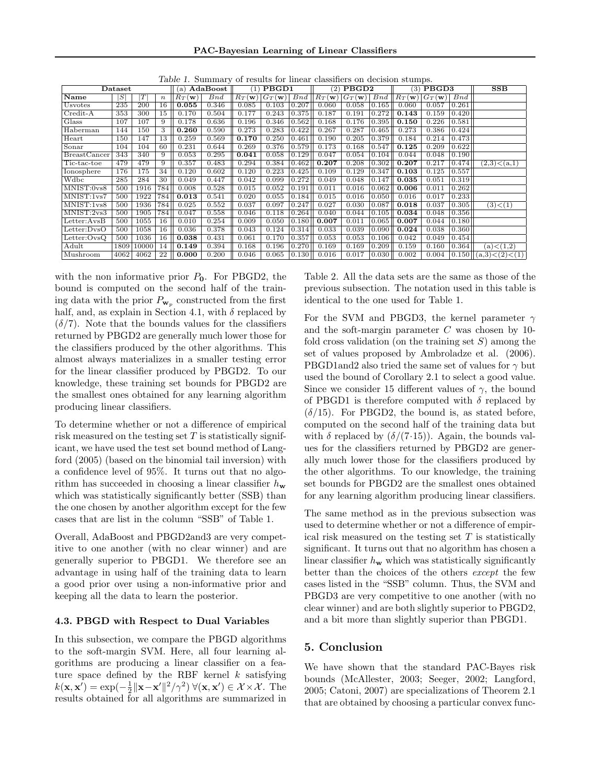PAC-Bayesian Learning of Linear Classifiers

|                                 |      |       |                     | <i>Lable 1.</i> Dunninal y Of results for initial classifiers on decision stumps. |             |                   |                   |             |                   |                   |             |                |                   |              |                      |
|---------------------------------|------|-------|---------------------|-----------------------------------------------------------------------------------|-------------|-------------------|-------------------|-------------|-------------------|-------------------|-------------|----------------|-------------------|--------------|----------------------|
| $\rm Dataset$                   |      |       | (a) <b>AdaBoost</b> |                                                                                   | $(1)$ PBGD1 |                   |                   | $(2)$ PBGD2 |                   |                   | $(3)$ PBGD3 |                |                   | $_{\bf SSB}$ |                      |
| Name                            | S    | Т     | $\boldsymbol{n}$    | $R_T(\mathbf{w})$                                                                 | Bnd         | $R_T(\mathbf{w})$ | $G_T(\mathbf{w})$ | Bnd         | $R_T(\mathbf{w})$ | $G_T(\mathbf{w})$ | Bnd         | $R_T({\bf w})$ | $G_T(\mathbf{w})$ | Bnd          |                      |
| Usyotes                         | 235  | 200   | 16                  | 0.055                                                                             | 0.346       | 0.085             | 0.103             | 0.207       | 0.060             | 0.058             | 0.165       | 0.060          | 0.057             | 0.261        |                      |
| Credit-A                        | 353  | 300   | 15                  | 0.170                                                                             | 0.504       | 0.177             | 0.243             | 0.375       | 0.187             | 0.191             | 0.272       | 0.143          | 0.159             | 0.420        |                      |
| Glass                           | 107  | 107   | 9                   | 0.178                                                                             | 0.636       | 0.196             | 0.346             | 0.562       | 0.168             | 0.176             | 0.395       | 0.150          | 0.226             | 0.581        |                      |
| Haberman                        | 144  | 150   | 3                   | 0.260                                                                             | 0.590       | 0.273             | 0.283             | 0.422       | 0.267             | 0.287             | 0.465       | 0.273          | 0.386             | 0.424        |                      |
| Heart                           | 150  | 147   | 13                  | 0.259                                                                             | 0.569       | 0.170             | 0.250             | 0.461       | 0.190             | 0.205             | 0.379       | 0.184          | 0.214             | 0.473        |                      |
| Sonar                           | 104  | 104   | 60                  | 0.231                                                                             | 0.644       | 0.269             | 0.376             | 0.579       | 0.173             | 0.168             | 0.547       | 0.125          | 0.209             | 0.622        |                      |
| <b>BreastCancer</b>             | 343  | 340   | 9                   | 0.053                                                                             | 0.295       | 0.041             | 0.058             | 0.129       | 0.047             | 0.054             | 0.104       | 0.044          | 0.048             | 0.190        |                      |
| Tic-tac-toe                     | 479  | 479   | 9                   | 0.357                                                                             | 0.483       | 0.294             | 0.384             | 0.462       | 0.207             | 0.208             | 0.302       | 0.207          | 0.217             | 0.474        | (2,3) < (a,1)        |
| Ionosphere                      | 176  | 175   | 34                  | 0.120                                                                             | 0.602       | 0.120             | 0.223             | 0.425       | 0.109             | 0.129             | 0.347       | 0.103          | 0.125             | 0.557        |                      |
| Wdbc                            | 285  | 284   | 30                  | 0.049                                                                             | 0.447       | 0.042             | 0.099             | 0.272       | 0.049             | 0.048             | 0.147       | 0.035          | 0.051             | 0.319        |                      |
| MNIST:0vs8                      | 500  | 1916  | 784                 | 0.008                                                                             | 0.528       | 0.015             | 0.052             | 0.191       | 0.011             | 0.016             | 0.062       | 0.006          | 0.011             | 0.262        |                      |
| $\overline{\text{MNIST}}$ :1vs7 | 500  | 1922  | 784                 | 0.013                                                                             | 0.541       | 0.020             | 0.055             | 0.184       | 0.015             | 0.016             | 0.050       | 0.016          | 0.017             | 0.233        |                      |
| MNIST:1vs8                      | 500  | 1936  | 784                 | 0.025                                                                             | 0.552       | 0.037             | 0.097             | 0.247       | 0.027             | 0.030             | 0.087       | 0.018          | 0.037             | 0.305        | $\overline{(3)}<(1)$ |
| MNIST:2vs3                      | 500  | 1905  | 784                 | 0.047                                                                             | 0.558       | 0.046             | 0.118             | 0.264       | 0.040             | 0.044             | 0.105       | 0.034          | 0.048             | 0.356        |                      |
| ${\rm Letter:AvgB}$             | 500  | 1055  | 16                  | 0.010                                                                             | 0.254       | 0.009             | 0.050             | 0.180       | 0.007             | 0.011             | 0.065       | 0.007          | 0.044             | 0.180        |                      |
| $\rm{Letter: DvsO}$             | 500  | 1058  | 16                  | 0.036                                                                             | 0.378       | 0.043             | 0.124             | 0.314       | 0.033             | 0.039             | 0.090       | 0.024          | 0.038             | 0.360        |                      |
| $\text{Letter:OvsQ}$            | 500  | 1036  | 16                  | 0.038                                                                             | 0.431       | 0.061             | 0.170             | 0.357       | 0.053             | 0.053             | 0.106       | 0.042          | 0.049             | 0.454        |                      |
| Adult                           | 1809 | 10000 | 14                  | 0.149                                                                             | 0.394       | 0.168             | 0.196             | 0.270       | 0.169             | 0.169             | 0.209       | 0.159          | 0.160             | 0.364        | (a) < (1,2)          |
| Mushroom                        | 4062 | 4062  | 22                  | 0.000                                                                             | 0.200       | 0.046             | 0.065             | 0.130       | 0.016             | 0.017             | 0.030       | 0.002          | 0.004             | 0.150        | (a,3) < (2) < (1)    |

Table 1. Summary of results for linear classifiers on decision stumps.

with the non informative prior  $P_0$ . For PBGD2, the bound is computed on the second half of the training data with the prior  $P_{\mathbf{w}_p}$  constructed from the first half, and, as explain in Section 4.1, with  $\delta$  replaced by  $(\delta/7)$ . Note that the bounds values for the classifiers returned by PBGD2 are generally much lower those for the classifiers produced by the other algorithms. This almost always materializes in a smaller testing error for the linear classifier produced by PBGD2. To our knowledge, these training set bounds for PBGD2 are the smallest ones obtained for any learning algorithm producing linear classifiers.

To determine whether or not a difference of empirical risk measured on the testing set  $T$  is statistically significant, we have used the test set bound method of Langford (2005) (based on the binomial tail inversion) with a confidence level of 95%. It turns out that no algorithm has succeeded in choosing a linear classifier  $h_{\mathbf{w}}$ which was statistically significantly better  $(SSB)$  than the one chosen by another algorithm except for the few cases that are list in the column "SSB" of Table 1.

Overall, AdaBoost and PBGD2and3 are very competitive to one another (with no clear winner) and are generally superior to PBGD1. We therefore see an advantage in using half of the training data to learn a good prior over using a non-informative prior and keeping all the data to learn the posterior.

## 4.3. PBGD with Respect to Dual Variables

In this subsection, we compare the PBGD algorithms to the soft-margin SVM. Here, all four learning algorithms are producing a linear classifier on a feature space defined by the RBF kernel  $k$  satisfying  $k(\mathbf{x}, \mathbf{x}') = \exp(-\frac{1}{2} ||\mathbf{x} - \mathbf{x}'||^2 / \gamma^2) \ \forall (\mathbf{x}, \mathbf{x}') \in \mathcal{X} \times \mathcal{X}$ . The results obtained for all algorithms are summarized in Table 2. All the data sets are the same as those of the previous subsection. The notation used in this table is identical to the one used for Table 1.

For the SVM and PBGD3, the kernel parameter  $\gamma$ and the soft-margin parameter  $C$  was chosen by 10fold cross validation (on the training set  $S$ ) among the set of values proposed by Ambroladze et al. (2006). PBGD1and2 also tried the same set of values for  $\gamma$  but used the bound of Corollary 2.1 to select a good value. Since we consider 15 different values of  $\gamma$ , the bound of PBGD1 is therefore computed with  $\delta$  replaced by  $(\delta/15)$ . For PBGD2, the bound is, as stated before, computed on the second half of the training data but with  $\delta$  replaced by  $(\delta/(7.15))$ . Again, the bounds values for the classifiers returned by PBGD2 are generally much lower those for the classifiers produced by the other algorithms. To our knowledge, the training set bounds for PBGD2 are the smallest ones obtained for any learning algorithm producing linear classifiers.

The same method as in the previous subsection was used to determine whether or not a difference of empirical risk measured on the testing set  $T$  is statistically significant. It turns out that no algorithm has chosen a linear classifier  $h_{\mathbf{w}}$  which was statistically significantly better than the choices of the others except the few cases listed in the "SSB" column. Thus, the SVM and PBGD3 are very competitive to one another (with no clear winner) and are both slightly superior to PBGD2, and a bit more than slightly superior than PBGD1.

## 5. Conclusion

We have shown that the standard PAC-Bayes risk bounds (McAllester, 2003; Seeger, 2002; Langford, 2005; Catoni, 2007) are specializations of Theorem 2.1 that are obtained by choosing a particular convex func-